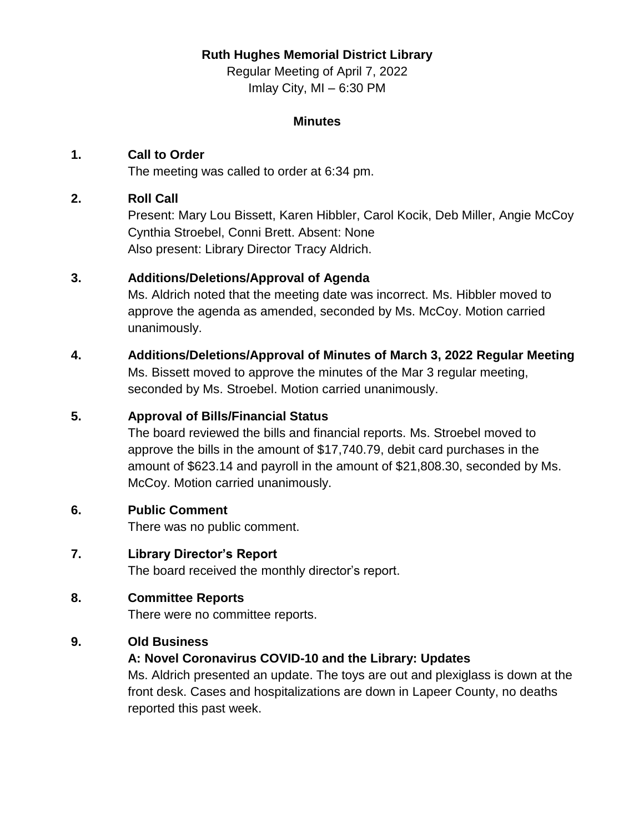## **Ruth Hughes Memorial District Library**

Regular Meeting of April 7, 2022 Imlay City, MI – 6:30 PM

#### **Minutes**

## **1. Call to Order**

The meeting was called to order at 6:34 pm.

#### **2. Roll Call**

Present: Mary Lou Bissett, Karen Hibbler, Carol Kocik, Deb Miller, Angie McCoy Cynthia Stroebel, Conni Brett. Absent: None Also present: Library Director Tracy Aldrich.

# **3. Additions/Deletions/Approval of Agenda**

Ms. Aldrich noted that the meeting date was incorrect. Ms. Hibbler moved to approve the agenda as amended, seconded by Ms. McCoy. Motion carried unanimously.

#### **4. Additions/Deletions/Approval of Minutes of March 3, 2022 Regular Meeting**

Ms. Bissett moved to approve the minutes of the Mar 3 regular meeting, seconded by Ms. Stroebel. Motion carried unanimously.

#### **5. Approval of Bills/Financial Status**

The board reviewed the bills and financial reports. Ms. Stroebel moved to approve the bills in the amount of \$17,740.79, debit card purchases in the amount of \$623.14 and payroll in the amount of \$21,808.30, seconded by Ms. McCoy. Motion carried unanimously.

#### **6. Public Comment**

There was no public comment.

## **7. Library Director's Report**

The board received the monthly director's report.

## **8. Committee Reports**

There were no committee reports.

## **9. Old Business**

## **A: Novel Coronavirus COVID-10 and the Library: Updates**

Ms. Aldrich presented an update. The toys are out and plexiglass is down at the front desk. Cases and hospitalizations are down in Lapeer County, no deaths reported this past week.